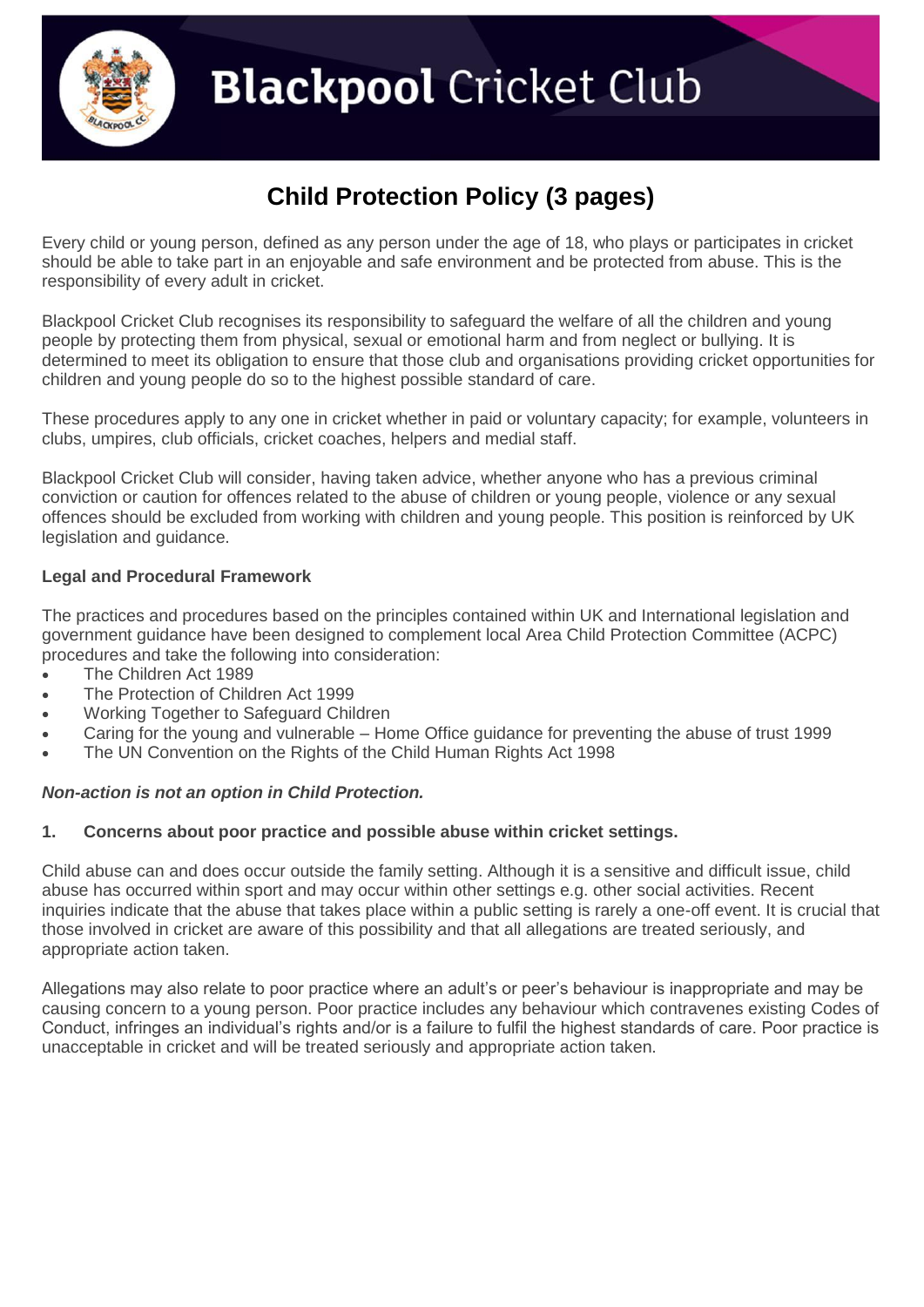

# **Blackpool** Cricket Club

### **Child Protection Policy (3 pages)**

Every child or young person, defined as any person under the age of 18, who plays or participates in cricket should be able to take part in an enjoyable and safe environment and be protected from abuse. This is the responsibility of every adult in cricket.

Blackpool Cricket Club recognises its responsibility to safeguard the welfare of all the children and young people by protecting them from physical, sexual or emotional harm and from neglect or bullying. It is determined to meet its obligation to ensure that those club and organisations providing cricket opportunities for children and young people do so to the highest possible standard of care.

These procedures apply to any one in cricket whether in paid or voluntary capacity; for example, volunteers in clubs, umpires, club officials, cricket coaches, helpers and medial staff.

Blackpool Cricket Club will consider, having taken advice, whether anyone who has a previous criminal conviction or caution for offences related to the abuse of children or young people, violence or any sexual offences should be excluded from working with children and young people. This position is reinforced by UK legislation and guidance.

#### **Legal and Procedural Framework**

The practices and procedures based on the principles contained within UK and International legislation and government guidance have been designed to complement local Area Child Protection Committee (ACPC) procedures and take the following into consideration:

- The Children Act 1989
- The Protection of Children Act 1999
- Working Together to Safeguard Children
- Caring for the young and vulnerable Home Office guidance for preventing the abuse of trust 1999
- The UN Convention on the Rights of the Child Human Rights Act 1998

#### *Non-action is not an option in Child Protection.*

#### **1. Concerns about poor practice and possible abuse within cricket settings.**

Child abuse can and does occur outside the family setting. Although it is a sensitive and difficult issue, child abuse has occurred within sport and may occur within other settings e.g. other social activities. Recent inquiries indicate that the abuse that takes place within a public setting is rarely a one-off event. It is crucial that those involved in cricket are aware of this possibility and that all allegations are treated seriously, and appropriate action taken.

Allegations may also relate to poor practice where an adult's or peer's behaviour is inappropriate and may be causing concern to a young person. Poor practice includes any behaviour which contravenes existing Codes of Conduct, infringes an individual's rights and/or is a failure to fulfil the highest standards of care. Poor practice is unacceptable in cricket and will be treated seriously and appropriate action taken.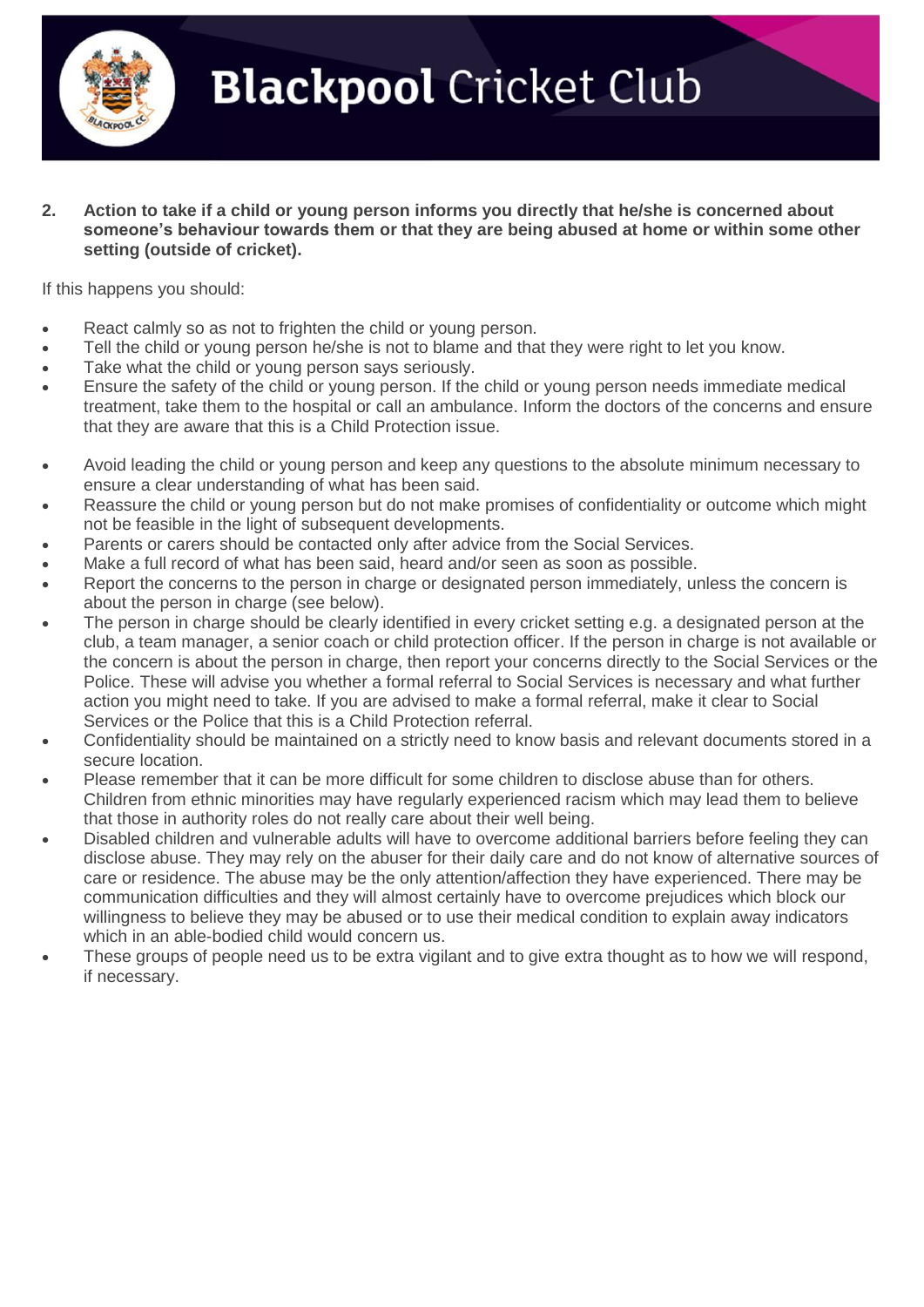

**Blackpool** Cricket Club

**2. Action to take if a child or young person informs you directly that he/she is concerned about someone's behaviour towards them or that they are being abused at home or within some other setting (outside of cricket).**

If this happens you should:

- React calmly so as not to frighten the child or young person.
- Tell the child or young person he/she is not to blame and that they were right to let you know.
- Take what the child or young person says seriously.
- Ensure the safety of the child or young person. If the child or young person needs immediate medical treatment, take them to the hospital or call an ambulance. Inform the doctors of the concerns and ensure that they are aware that this is a Child Protection issue.
- Avoid leading the child or young person and keep any questions to the absolute minimum necessary to ensure a clear understanding of what has been said.
- Reassure the child or young person but do not make promises of confidentiality or outcome which might not be feasible in the light of subsequent developments.
- Parents or carers should be contacted only after advice from the Social Services.
- Make a full record of what has been said, heard and/or seen as soon as possible.
- Report the concerns to the person in charge or designated person immediately, unless the concern is about the person in charge (see below).
- The person in charge should be clearly identified in every cricket setting e.g. a designated person at the club, a team manager, a senior coach or child protection officer. If the person in charge is not available or the concern is about the person in charge, then report your concerns directly to the Social Services or the Police. These will advise you whether a formal referral to Social Services is necessary and what further action you might need to take. If you are advised to make a formal referral, make it clear to Social Services or the Police that this is a Child Protection referral.
- Confidentiality should be maintained on a strictly need to know basis and relevant documents stored in a secure location.
- Please remember that it can be more difficult for some children to disclose abuse than for others. Children from ethnic minorities may have regularly experienced racism which may lead them to believe that those in authority roles do not really care about their well being.
- Disabled children and vulnerable adults will have to overcome additional barriers before feeling they can disclose abuse. They may rely on the abuser for their daily care and do not know of alternative sources of care or residence. The abuse may be the only attention/affection they have experienced. There may be communication difficulties and they will almost certainly have to overcome prejudices which block our willingness to believe they may be abused or to use their medical condition to explain away indicators which in an able-bodied child would concern us.
- These groups of people need us to be extra vigilant and to give extra thought as to how we will respond, if necessary.